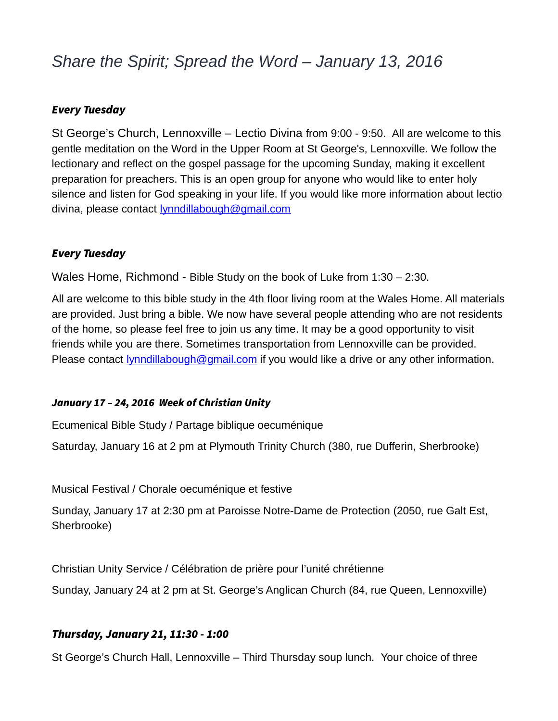# *Share the Spirit; Spread the Word – January 13, 2016*

#### Every Tuesday

St George's Church, Lennoxville – Lectio Divina from 9:00 - 9:50. All are welcome to this gentle meditation on the Word in the Upper Room at St George's, Lennoxville. We follow the lectionary and reflect on the gospel passage for the upcoming Sunday, making it excellent preparation for preachers. This is an open group for anyone who would like to enter holy silence and listen for God speaking in your life. If you would like more information about lectio divina, please contact **lynndillabough@gmail.com** 

#### Every Tuesday

Wales Home, Richmond - Bible Study on the book of Luke from 1:30 – 2:30.

All are welcome to this bible study in the 4th floor living room at the Wales Home. All materials are provided. Just bring a bible. We now have several people attending who are not residents of the home, so please feel free to join us any time. It may be a good opportunity to visit friends while you are there. Sometimes transportation from Lennoxville can be provided. Please contact *lynndillabough@gmail.com* if you would like a drive or any other information.

#### January 17 – 24, 2016 Week of Christian Unity

Ecumenical Bible Study / Partage biblique oecuménique

Saturday, January 16 at 2 pm at Plymouth Trinity Church (380, rue Dufferin, Sherbrooke)

Musical Festival / Chorale oecuménique et festive

Sunday, January 17 at 2:30 pm at Paroisse Notre-Dame de Protection (2050, rue Galt Est, Sherbrooke)

Christian Unity Service / Célébration de prière pour l'unité chrétienne

Sunday, January 24 at 2 pm at St. George's Anglican Church (84, rue Queen, Lennoxville)

## Thursday, January 21, 11:30 - 1:00

St George's Church Hall, Lennoxville – Third Thursday soup lunch. Your choice of three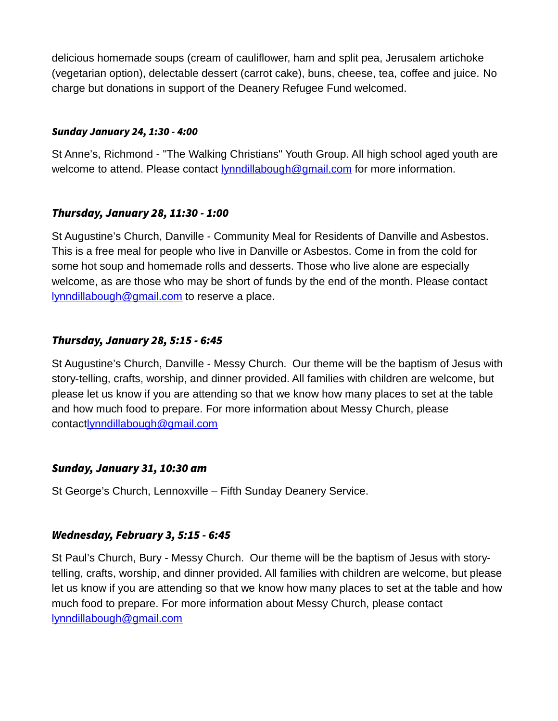delicious homemade soups (cream of cauliflower, ham and split pea, Jerusalem artichoke (vegetarian option), delectable dessert (carrot cake), buns, cheese, tea, coffee and juice. No charge but donations in support of the Deanery Refugee Fund welcomed.

#### Sunday January 24, 1:30 - 4:00

St Anne's, Richmond - "The Walking Christians" Youth Group. All high school aged youth are welcome to attend. Please contact [lynndillabough@gmail.com](mailto:lynndillabough@gmail.com) for more information.

# Thursday, January 28, 11:30 - 1:00

St Augustine's Church, Danville - Community Meal for Residents of Danville and Asbestos. This is a free meal for people who live in Danville or Asbestos. Come in from the cold for some hot soup and homemade rolls and desserts. Those who live alone are especially welcome, as are those who may be short of funds by the end of the month. Please contact [lynndillabough@gmail.com](mailto:lynndillabough@gmail.com) to reserve a place.

# Thursday, January 28, 5:15 - 6:45

St Augustine's Church, Danville - Messy Church. Our theme will be the baptism of Jesus with story-telling, crafts, worship, and dinner provided. All families with children are welcome, but please let us know if you are attending so that we know how many places to set at the table and how much food to prepare. For more information about Messy Church, please contac[tlynndillabough@gmail.com](mailto:lynndillabough@gmail.com)

## Sunday, January 31, 10:30 am

St George's Church, Lennoxville – Fifth Sunday Deanery Service.

## Wednesday, February 3, 5:15 - 6:45

St Paul's Church, Bury - Messy Church. Our theme will be the baptism of Jesus with storytelling, crafts, worship, and dinner provided. All families with children are welcome, but please let us know if you are attending so that we know how many places to set at the table and how much food to prepare. For more information about Messy Church, please contact [lynndillabough@gmail.com](mailto:lynndillabough@gmail.com)